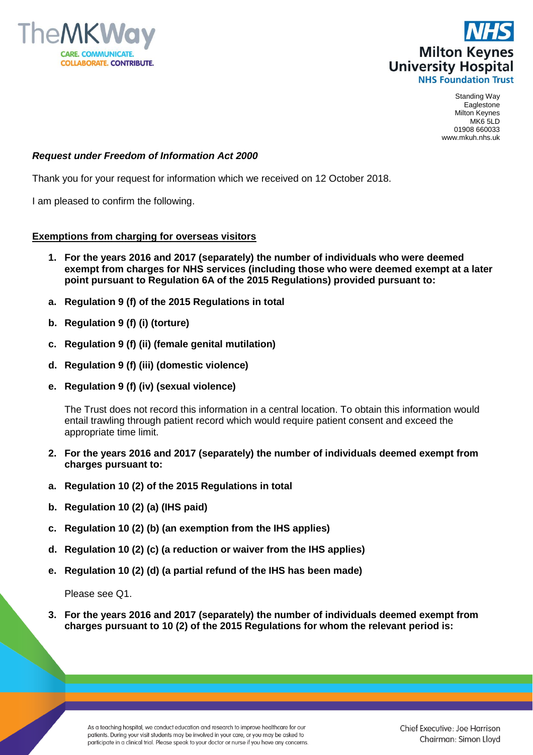



Standing Way Eaglestone Milton Keynes MK6 5LD 01908 660033 www.mkuh.nhs.uk

## *Request under Freedom of Information Act 2000*

Thank you for your request for information which we received on 12 October 2018.

I am pleased to confirm the following.

## **Exemptions from charging for overseas visitors**

- **1. For the years 2016 and 2017 (separately) the number of individuals who were deemed exempt from charges for NHS services (including those who were deemed exempt at a later point pursuant to Regulation 6A of the 2015 Regulations) provided pursuant to:**
- **a. Regulation 9 (f) of the 2015 Regulations in total**
- **b. Regulation 9 (f) (i) (torture)**
- **c. Regulation 9 (f) (ii) (female genital mutilation)**
- **d. Regulation 9 (f) (iii) (domestic violence)**
- **e. Regulation 9 (f) (iv) (sexual violence)**

The Trust does not record this information in a central location. To obtain this information would entail trawling through patient record which would require patient consent and exceed the appropriate time limit.

- **2. For the years 2016 and 2017 (separately) the number of individuals deemed exempt from charges pursuant to:**
- **a. Regulation 10 (2) of the 2015 Regulations in total**
- **b. Regulation 10 (2) (a) (IHS paid)**
- **c. Regulation 10 (2) (b) (an exemption from the IHS applies)**
- **d. Regulation 10 (2) (c) (a reduction or waiver from the IHS applies)**
- **e. Regulation 10 (2) (d) (a partial refund of the IHS has been made)**

Please see Q1.

**3. For the years 2016 and 2017 (separately) the number of individuals deemed exempt from charges pursuant to 10 (2) of the 2015 Regulations for whom the relevant period is:** 

As a teaching hospital, we conduct education and research to improve healthcare for our patients. During your visit students may be involved in your care, or you may be asked to participate in a clinical trial. Please speak to your doctor or nurse if you have any concerns.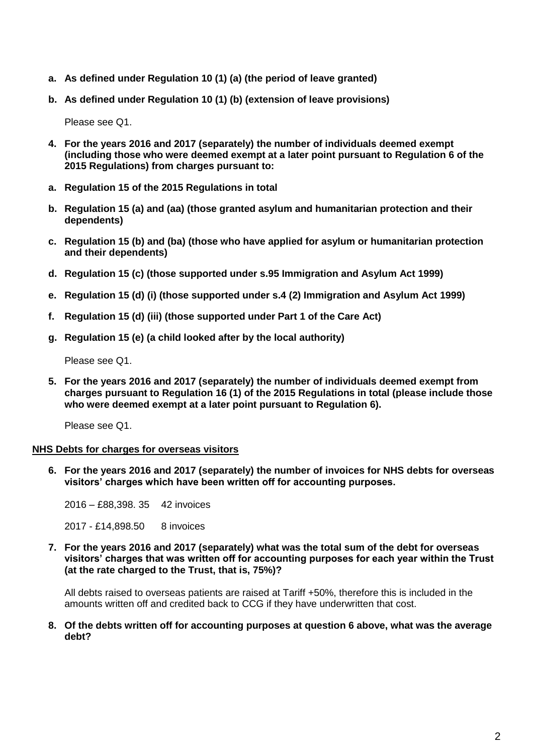- **a. As defined under Regulation 10 (1) (a) (the period of leave granted)**
- **b. As defined under Regulation 10 (1) (b) (extension of leave provisions)**

Please see Q1.

- **4. For the years 2016 and 2017 (separately) the number of individuals deemed exempt (including those who were deemed exempt at a later point pursuant to Regulation 6 of the 2015 Regulations) from charges pursuant to:**
- **a. Regulation 15 of the 2015 Regulations in total**
- **b. Regulation 15 (a) and (aa) (those granted asylum and humanitarian protection and their dependents)**
- **c. Regulation 15 (b) and (ba) (those who have applied for asylum or humanitarian protection and their dependents)**
- **d. Regulation 15 (c) (those supported under s.95 Immigration and Asylum Act 1999)**
- **e. Regulation 15 (d) (i) (those supported under s.4 (2) Immigration and Asylum Act 1999)**
- **f. Regulation 15 (d) (iii) (those supported under Part 1 of the Care Act)**
- **g. Regulation 15 (e) (a child looked after by the local authority)**

Please see Q1.

**5. For the years 2016 and 2017 (separately) the number of individuals deemed exempt from charges pursuant to Regulation 16 (1) of the 2015 Regulations in total (please include those who were deemed exempt at a later point pursuant to Regulation 6).** 

Please see Q1.

## **NHS Debts for charges for overseas visitors**

**6. For the years 2016 and 2017 (separately) the number of invoices for NHS debts for overseas visitors' charges which have been written off for accounting purposes.**

2016 – £88,398. 35 42 invoices

2017 - £14,898.50 8 invoices

**7. For the years 2016 and 2017 (separately) what was the total sum of the debt for overseas visitors' charges that was written off for accounting purposes for each year within the Trust (at the rate charged to the Trust, that is, 75%)?**

All debts raised to overseas patients are raised at Tariff +50%, therefore this is included in the amounts written off and credited back to CCG if they have underwritten that cost.

**8. Of the debts written off for accounting purposes at question 6 above, what was the average debt?**